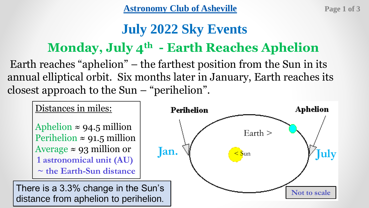[Astronomy Club of Asheville](https://www.astroasheville.org/) **Page 1 of 3** 

# **July 2022 Sky Events**

# **Monday, July 4th - Earth Reaches Aphelion**

Earth reaches "aphelion" – the farthest position from the Sun in its annual elliptical orbit. Six months later in January, Earth reaches its closest approach to the Sun – "perihelion".

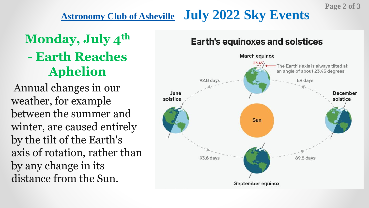### **[Astronomy Club of Asheville](https://www.astroasheville.org/) July 2022 Sky Events**

# **Monday, July 4th - Earth Reaches Aphelion**

Annual changes in our weather, for example between the summer and winter, are caused entirely by the tilt of the Earth's axis of rotation, rather than by any change in its distance from the Sun.

#### **Earth's equinoxes and solstices**